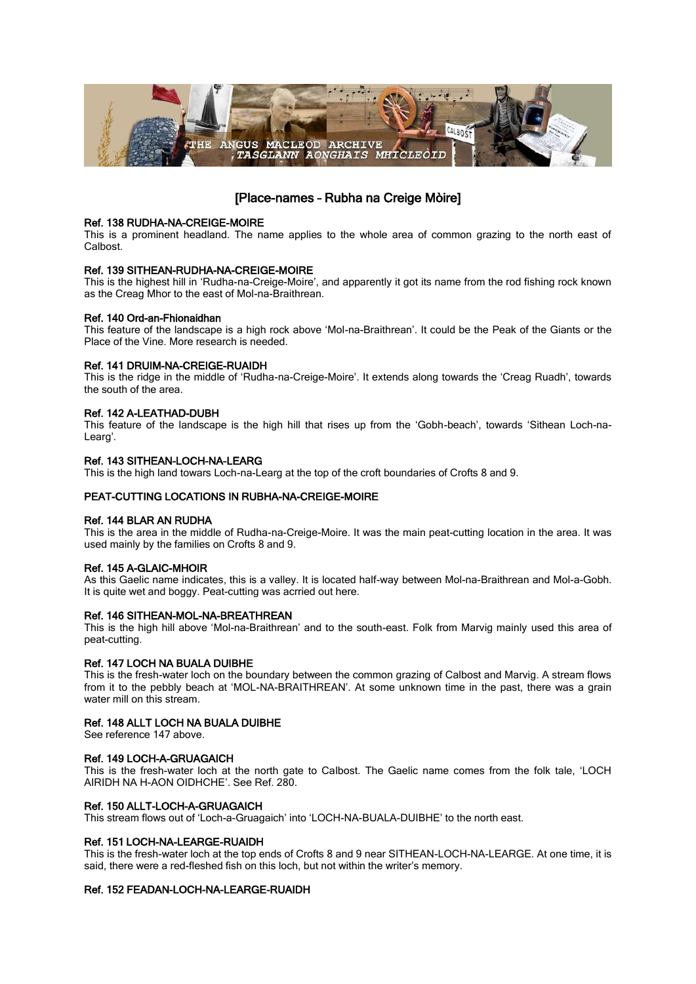

# [Place-names – Rubha na Creige Mòire]

### Ref. 138 RUDHA-NA-CREIGE-MOIRE

This is a prominent headland. The name applies to the whole area of common grazing to the north east of Calbost.

### Ref. 139 SITHEAN-RUDHA-NA-CREIGE-MOIRE

This is the highest hill in 'Rudha-na-Creige-Moire', and apparently it got its name from the rod fishing rock known as the Creag Mhor to the east of Mol-na-Braithrean.

## Ref. 140 Ord-an-Fhionaidhan

This feature of the landscape is a high rock above 'Mol-na-Braithrean'. It could be the Peak of the Giants or the Place of the Vine. More research is needed.

### Ref. 141 DRUIM-NA-CREIGE-RUAIDH

This is the ridge in the middle of 'Rudha-na-Creige-Moire'. It extends along towards the 'Creag Ruadh', towards the south of the area.

## Ref. 142 A-LEATHAD-DUBH

This feature of the landscape is the high hill that rises up from the 'Gobh-beach', towards 'Sithean Loch-na-Learg'.

## Ref. 143 SITHEAN-LOCH-NA-LEARG

This is the high land towars Loch-na-Learg at the top of the croft boundaries of Crofts 8 and 9.

## PEAT-CUTTING LOCATIONS IN RUBHA-NA-CREIGE-MOIRE

### Ref. 144 BLAR AN RUDHA

This is the area in the middle of Rudha-na-Creige-Moire. It was the main peat-cutting location in the area. It was used mainly by the families on Crofts 8 and 9.

### Ref. 145 A-GLAIC-MHOIR

As this Gaelic name indicates, this is a valley. It is located half-way between Mol-na-Braithrean and Mol-a-Gobh. It is quite wet and boggy. Peat-cutting was acrried out here.

### Ref. 146 SITHEAN-MOL-NA-BREATHREAN

This is the high hill above 'Mol-na-Braithrean' and to the south-east. Folk from Marvig mainly used this area of peat-cutting.

### Ref. 147 LOCH NA BUALA DUIBHE

This is the fresh-water loch on the boundary between the common grazing of Calbost and Marvig. A stream flows from it to the pebbly beach at 'MOL-NA-BRAITHREAN'. At some unknown time in the past, there was a grain water mill on this stream.

## Ref. 148 ALLT LOCH NA BUALA DUIBHE

See reference 147 above.

### Ref. 149 LOCH-A-GRUAGAICH

This is the fresh-water loch at the north gate to Calbost. The Gaelic name comes from the folk tale, 'LOCH AIRIDH NA H-AON OIDHCHE'. See Ref. 280.

### Ref. 150 ALLT-LOCH-A-GRUAGAICH

This stream flows out of 'Loch-a-Gruagaich' into 'LOCH-NA-BUALA-DUIBHE' to the north east.

### Ref. 151 LOCH-NA-LEARGE-RUAIDH

This is the fresh-water loch at the top ends of Crofts 8 and 9 near SITHEAN-LOCH-NA-LEARGE. At one time, it is said, there were a red-fleshed fish on this loch, but not within the writer's memory.

## Ref. 152 FEADAN-LOCH-NA-LEARGE-RUAIDH